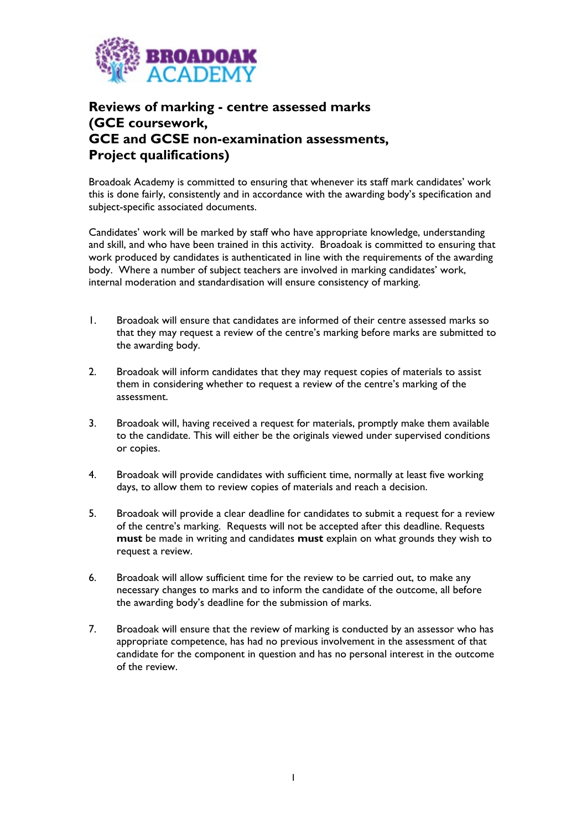

## **Reviews of marking - centre assessed marks (GCE coursework, GCE and GCSE non-examination assessments, Project qualifications)**

Broadoak Academy is committed to ensuring that whenever its staff mark candidates' work this is done fairly, consistently and in accordance with the awarding body's specification and subject-specific associated documents.

Candidates' work will be marked by staff who have appropriate knowledge, understanding and skill, and who have been trained in this activity. Broadoak is committed to ensuring that work produced by candidates is authenticated in line with the requirements of the awarding body. Where a number of subject teachers are involved in marking candidates' work, internal moderation and standardisation will ensure consistency of marking.

- 1. Broadoak will ensure that candidates are informed of their centre assessed marks so that they may request a review of the centre's marking before marks are submitted to the awarding body.
- 2. Broadoak will inform candidates that they may request copies of materials to assist them in considering whether to request a review of the centre's marking of the assessment.
- 3. Broadoak will, having received a request for materials, promptly make them available to the candidate. This will either be the originals viewed under supervised conditions or copies.
- 4. Broadoak will provide candidates with sufficient time, normally at least five working days, to allow them to review copies of materials and reach a decision.
- 5. Broadoak will provide a clear deadline for candidates to submit a request for a review of the centre's marking. Requests will not be accepted after this deadline. Requests **must** be made in writing and candidates **must** explain on what grounds they wish to request a review.
- 6. Broadoak will allow sufficient time for the review to be carried out, to make any necessary changes to marks and to inform the candidate of the outcome, all before the awarding body's deadline for the submission of marks.
- 7. Broadoak will ensure that the review of marking is conducted by an assessor who has appropriate competence, has had no previous involvement in the assessment of that candidate for the component in question and has no personal interest in the outcome of the review.